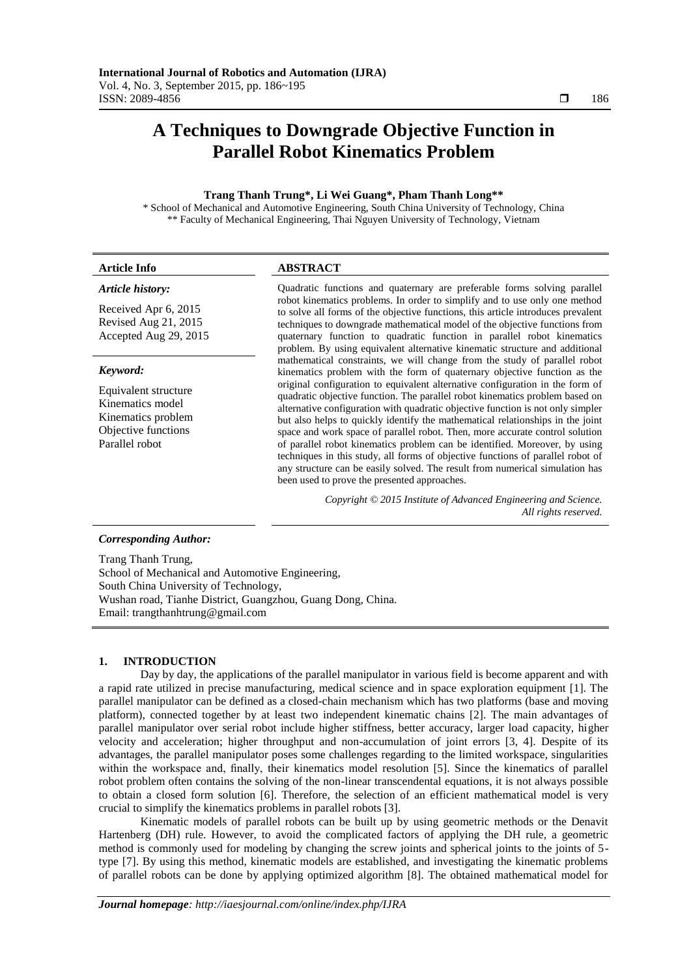# **A Techniques to Downgrade Objective Function in Parallel Robot Kinematics Problem**

# **Trang Thanh Trung\*, Li Wei Guang\*, Pham Thanh Long\*\***

\* School of Mechanical and Automotive Engineering, South China University of Technology, China \*\* Faculty of Mechanical Engineering, Thai Nguyen University of Technology, Vietnam

# **Article Info ABSTRACT**

# *Article history:*

Received Apr 6, 2015 Revised Aug 21, 2015 Accepted Aug 29, 2015

#### *Keyword:*

Equivalent structure Kinematics model Kinematics problem Objective functions Parallel robot

Quadratic functions and quaternary are preferable forms solving parallel robot kinematics problems. In order to simplify and to use only one method to solve all forms of the objective functions, this article introduces prevalent techniques to downgrade mathematical model of the objective functions from quaternary function to quadratic function in parallel robot kinematics problem. By using equivalent alternative kinematic structure and additional mathematical constraints, we will change from the study of parallel robot kinematics problem with the form of quaternary objective function as the original configuration to equivalent alternative configuration in the form of quadratic objective function. The parallel robot kinematics problem based on alternative configuration with quadratic objective function is not only simpler but also helps to quickly identify the mathematical relationships in the joint space and work space of parallel robot. Then, more accurate control solution of parallel robot kinematics problem can be identified. Moreover, by using techniques in this study, all forms of objective functions of parallel robot of any structure can be easily solved. The result from numerical simulation has been used to prove the presented approaches.

> *Copyright © 2015 Institute of Advanced Engineering and Science. All rights reserved.*

# *Corresponding Author:*

Trang Thanh Trung, School of Mechanical and Automotive Engineering, South China University of Technology, Wushan road, Tianhe District, Guangzhou, Guang Dong, China. Email: trangthanhtrung@gmail.com

# **1. INTRODUCTION**

Day by day, the applications of the parallel manipulator in various field is become apparent and with a rapid rate utilized in precise manufacturing, medical science and in space exploration equipment [1]. The parallel manipulator can be defined as a closed-chain mechanism which has two platforms (base and moving platform), connected together by at least two independent kinematic chains [2]. The main advantages of parallel manipulator over serial robot include higher stiffness, better accuracy, larger load capacity, higher velocity and acceleration; higher throughput and non-accumulation of joint errors [3, 4]. Despite of its advantages, the parallel manipulator poses some challenges regarding to the limited workspace, singularities within the workspace and, finally, their kinematics model resolution [5]. Since the kinematics of parallel robot problem often contains the solving of the non-linear transcendental equations, it is not always possible to obtain a closed form solution [6]. Therefore, the selection of an efficient mathematical model is very crucial to simplify the kinematics problems in parallel robots [3].

Kinematic models of parallel robots can be built up by using geometric methods or the Denavit Hartenberg (DH) rule. However, to avoid the complicated factors of applying the DH rule, a geometric method is commonly used for modeling by changing the screw joints and spherical joints to the joints of 5 type [7]. By using this method, kinematic models are established, and investigating the kinematic problems of parallel robots can be done by applying optimized algorithm [8]. The obtained mathematical model for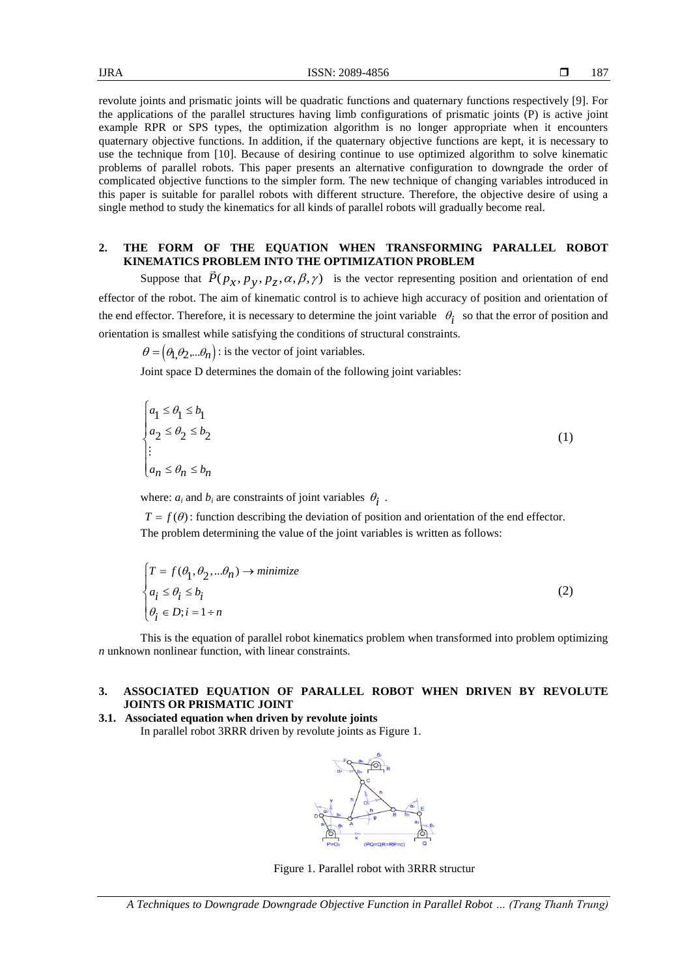revolute joints and prismatic joints will be quadratic functions and quaternary functions respectively [9]. For the applications of the parallel structures having limb configurations of prismatic joints (P) is active joint example RPR or SPS types, the optimization algorithm is no longer appropriate when it encounters quaternary objective functions. In addition, if the quaternary objective functions are kept, it is necessary to use the technique from [10]. Because of desiring continue to use optimized algorithm to solve kinematic problems of parallel robots. This paper presents an alternative configuration to downgrade the order of complicated objective functions to the simpler form. The new technique of changing variables introduced in this paper is suitable for parallel robots with different structure. Therefore, the objective desire of using a single method to study the kinematics for all kinds of parallel robots will gradually become real.

# **2. THE FORM OF THE EQUATION WHEN TRANSFORMING PARALLEL ROBOT KINEMATICS PROBLEM INTO THE OPTIMIZATION PROBLEM**

Suppose that  $\vec{P}(p_x, p_y, p_z, \alpha, \beta, \gamma)$  is the vector representing position and orientation of end effector of the robot. The aim of kinematic control is to achieve high accuracy of position and orientation of the end effector. Therefore, it is necessary to determine the joint variable  $\theta_i$  so that the error of position and orientation is smallest while satisfying the conditions of structural constraints.

 $\theta = (\theta_1, \theta_2, \dots, \theta_n)$ : is the vector of joint variables.

Joint space D determines the domain of the following joint variables:

$$
\begin{cases} a_1 \le \theta_1 \le b_1 \\ a_2 \le \theta_2 \le b_2 \\ \vdots \\ a_n \le \theta_n \le b_n \end{cases} \tag{1}
$$

where:  $a_i$  and  $b_i$  are constraints of joint variables  $\theta_i$ .

 $T = f(\theta)$ : function describing the deviation of position and orientation of the end effector. The problem determining the value of the joint variables is written as follows:

$$
\begin{cases}\nT = f(\theta_1, \theta_2, \dots \theta_n) \to \text{minimize} \\
a_i \le \theta_i \le b_i \\
\theta_i \in D; i = 1 \div n\n\end{cases}
$$
\n(2)

This is the equation of parallel robot kinematics problem when transformed into problem optimizing *n* unknown nonlinear function, with linear constraints.

# **3. ASSOCIATED EQUATION OF PARALLEL ROBOT WHEN DRIVEN BY REVOLUTE JOINTS OR PRISMATIC JOINT**

**3.1. Associated equation when driven by revolute joints**  In parallel robot 3RRR driven by revolute joints as Figure 1.



Figure 1. Parallel robot with 3RRR structur

*A Techniques to Downgrade Downgrade Objective Function in Parallel Robot … (Trang Thanh Trung)*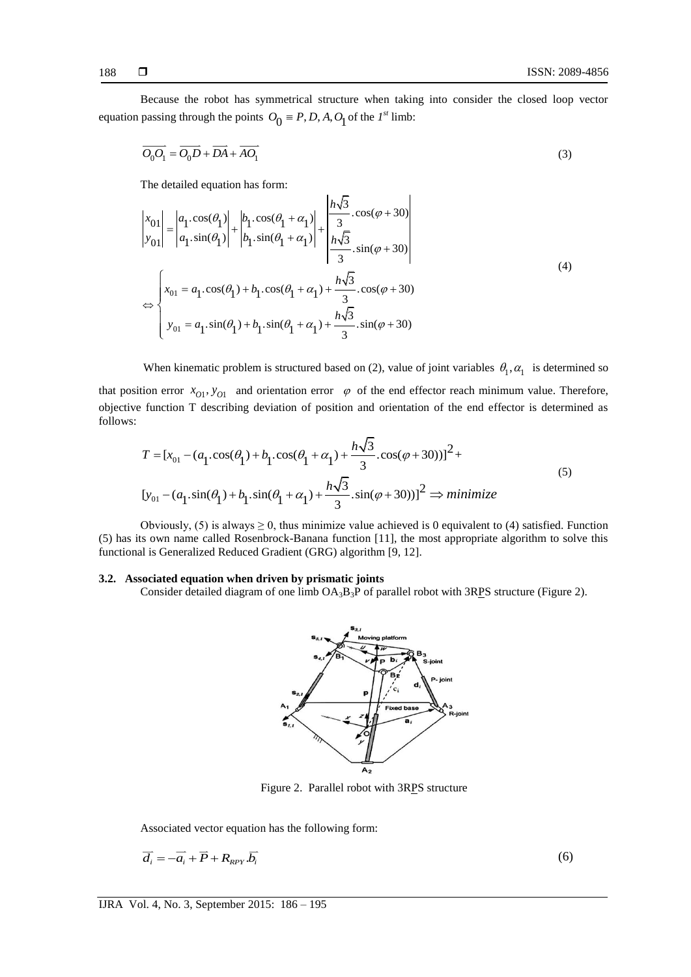Because the robot has symmetrical structure when taking into consider the closed loop vector equation passing through the points  $O_0 \equiv P, D, A, O_1$  of the *1<sup>st</sup>* limb:

$$
\overline{O_0O_1} = \overline{O_0D} + \overline{DA} + \overline{AO_1}
$$
\n(3)

The detailed equation has form:

$$
\begin{vmatrix} x_{01} \\ y_{01} \end{vmatrix} = \begin{vmatrix} a_1 \cos(\theta_1) \\ a_1 \sin(\theta_1) \end{vmatrix} + \begin{vmatrix} b_1 \cos(\theta_1 + \alpha_1) \\ b_1 \sin(\theta_1 + \alpha_1) \end{vmatrix} + \begin{vmatrix} h\sqrt{3} \cos(\varphi + 30) \\ \frac{h\sqrt{3}}{3} \sin(\varphi + 30) \end{vmatrix}
$$
  
\n
$$
\Leftrightarrow \begin{cases} x_{01} = a_1 \cos(\theta_1) + b_1 \cos(\theta_1 + \alpha_1) + \frac{h\sqrt{3}}{3} \cos(\varphi + 30) \\ y_{01} = a_1 \sin(\theta_1) + b_1 \sin(\theta_1 + \alpha_1) + \frac{h\sqrt{3}}{3} \sin(\varphi + 30) \end{cases}
$$
\n(4)

When kinematic problem is structured based on (2), value of joint variables  $\theta_1, \alpha_1$  is determined so that position error  $x_{01}$ ,  $y_{01}$  and orientation error  $\varphi$  of the end effector reach minimum value. Therefore, objective function T describing deviation of position and orientation of the end effector is determined as follows:

$$
T = [x_{01} - (a_1 \cos(\theta_1) + b_1 \cos(\theta_1 + \alpha_1) + \frac{h\sqrt{3}}{3} \cdot \cos(\varphi + 30))]^2 +
$$
  
\n
$$
[y_{01} - (a_1 \sin(\theta_1) + b_1 \sin(\theta_1 + \alpha_1) + \frac{h\sqrt{3}}{3} \cdot \sin(\varphi + 30))]^2 \implies \text{minimize}
$$
\n(5)

Obviously, (5) is always  $\geq 0$ , thus minimize value achieved is 0 equivalent to (4) satisfied. Function (5) has its own name called Rosenbrock-Banana function [11], the most appropriate algorithm to solve this functional is Generalized Reduced Gradient (GRG) algorithm [9, 12].

# **3.2. Associated equation when driven by prismatic joints**

Consider detailed diagram of one limb  $OA_3B_3P$  of parallel robot with 3RPS structure (Figure 2).



Figure 2. Parallel robot with 3RPS structure

Associated vector equation has the following form:

$$
\overline{d_i} = -\overline{a_i} + \overline{P} + R_{\text{RPY}} \overline{b_i}
$$
\n<sup>(6)</sup>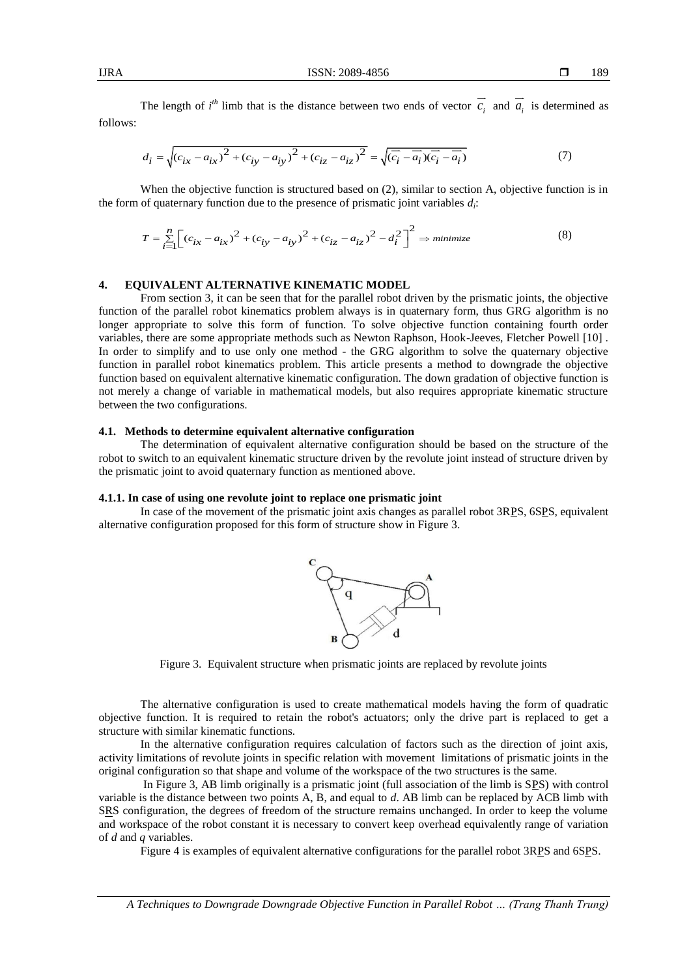The length of  $i^{th}$  limb that is the distance between two ends of vector  $c_i$  and  $a_i$  is determined as follows:

$$
d_i = \sqrt{(c_{ix} - a_{ix})^2 + (c_{iy} - a_{iy})^2 + (c_{iz} - a_{iz})^2} = \sqrt{(\overline{c_i} - \overline{a_i})(\overline{c_i} - \overline{a_i})}
$$
(7)

When the objective function is structured based on (2), similar to section A, objective function is in

the form of quaternary function due to the presence of prismatic joint variables 
$$
d_i
$$
:  
\n
$$
T = \sum_{i=1}^{n} \left[ (c_{ix} - a_{ix})^2 + (c_{iy} - a_{iy})^2 + (c_{iz} - a_{iz})^2 - d_i^2 \right]^2 \Rightarrow minimize
$$
\n(8)

# **4. EQUIVALENT ALTERNATIVE KINEMATIC MODEL**

From section 3, it can be seen that for the parallel robot driven by the prismatic joints, the objective function of the parallel robot kinematics problem always is in quaternary form, thus GRG algorithm is no longer appropriate to solve this form of function. To solve objective function containing fourth order variables, there are some appropriate methods such as Newton Raphson, Hook-Jeeves, Fletcher Powell [10] . In order to simplify and to use only one method - the GRG algorithm to solve the quaternary objective function in parallel robot kinematics problem. This article presents a method to downgrade the objective function based on equivalent alternative kinematic configuration. The down gradation of objective function is not merely a change of variable in mathematical models, but also requires appropriate kinematic structure between the two configurations.

#### **4.1. Methods to determine equivalent alternative configuration**

The determination of equivalent alternative configuration should be based on the structure of the robot to switch to an equivalent kinematic structure driven by the revolute joint instead of structure driven by the prismatic joint to avoid quaternary function as mentioned above.

## **4.1.1. In case of using one revolute joint to replace one prismatic joint**

In case of the movement of the prismatic joint axis changes as parallel robot 3RPS, 6SPS, equivalent alternative configuration proposed for this form of structure show in Figure 3.



Figure 3. Equivalent structure when prismatic joints are replaced by revolute joints

The alternative configuration is used to create mathematical models having the form of quadratic objective function. It is required to retain the robot's actuators; only the drive part is replaced to get a structure with similar kinematic functions.

In the alternative configuration requires calculation of factors such as the direction of joint axis, activity limitations of revolute joints in specific relation with movement limitations of prismatic joints in the original configuration so that shape and volume of the workspace of the two structures is the same.

In Figure 3, AB limb originally is a prismatic joint (full association of the limb is SPS) with control variable is the distance between two points A, B, and equal to *d*. AB limb can be replaced by ACB limb with SRS configuration, the degrees of freedom of the structure remains unchanged. In order to keep the volume and workspace of the robot constant it is necessary to convert keep overhead equivalently range of variation of *d* and *q* variables.

Figure 4 is examples of equivalent alternative configurations for the parallel robot 3RPS and 6SPS.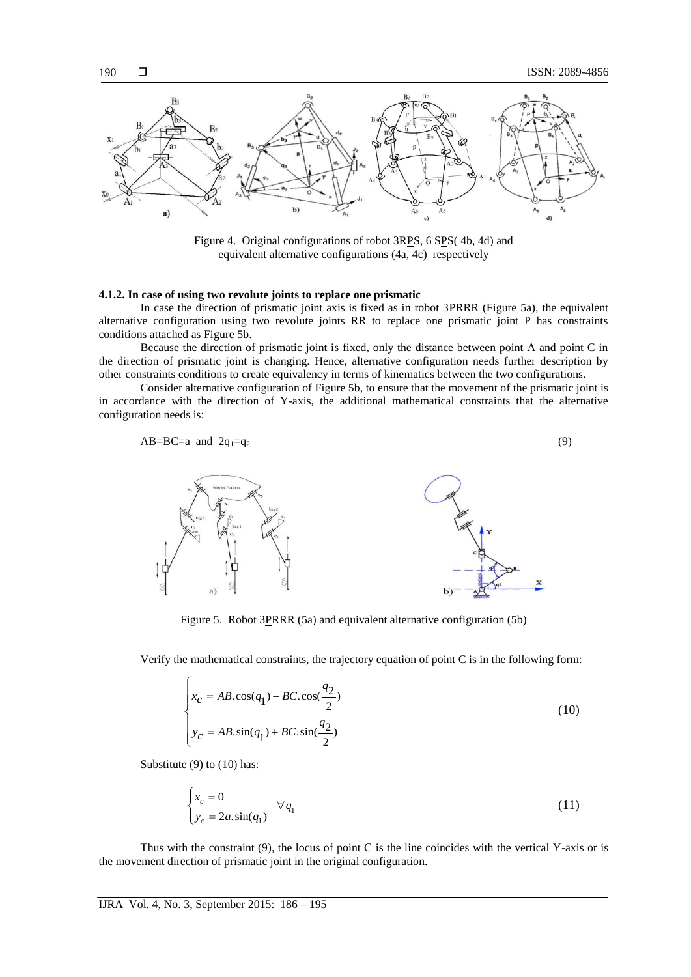

Figure 4. Original configurations of robot 3RPS, 6 SPS(4b, 4d) and equivalent alternative configurations (4a, 4c) respectively

# **4.1.2. In case of using two revolute joints to replace one prismatic**

In case the direction of prismatic joint axis is fixed as in robot 3PRRR (Figure 5a), the equivalent alternative configuration using two revolute joints RR to replace one prismatic joint P has constraints conditions attached as Figure 5b.

Because the direction of prismatic joint is fixed, only the distance between point A and point C in the direction of prismatic joint is changing. Hence, alternative configuration needs further description by other constraints conditions to create equivalency in terms of kinematics between the two configurations.

Consider alternative configuration of Figure 5b, to ensure that the movement of the prismatic joint is in accordance with the direction of Y-axis, the additional mathematical constraints that the alternative configuration needs is:

$$
AB=BC=a \text{ and } 2q_1=q_2 \tag{9}
$$



Figure 5. Robot 3PRRR (5a) and equivalent alternative configuration (5b)

Verify the mathematical constraints, the trajectory equation of point C is in the following form:

$$
\begin{cases}\nx_c = AB \cdot \cos(q_1) - BC \cdot \cos(\frac{q_2}{2}) \\
y_c = AB \cdot \sin(q_1) + BC \cdot \sin(\frac{q_2}{2})\n\end{cases}
$$
\n(10)

Substitute (9) to (10) has:

$$
\begin{cases} x_c = 0 \\ y_c = 2a \sin(q_1) \end{cases} \forall q_1
$$
 (11)

Thus with the constraint  $(9)$ , the locus of point C is the line coincides with the vertical Y-axis or is the movement direction of prismatic joint in the original configuration.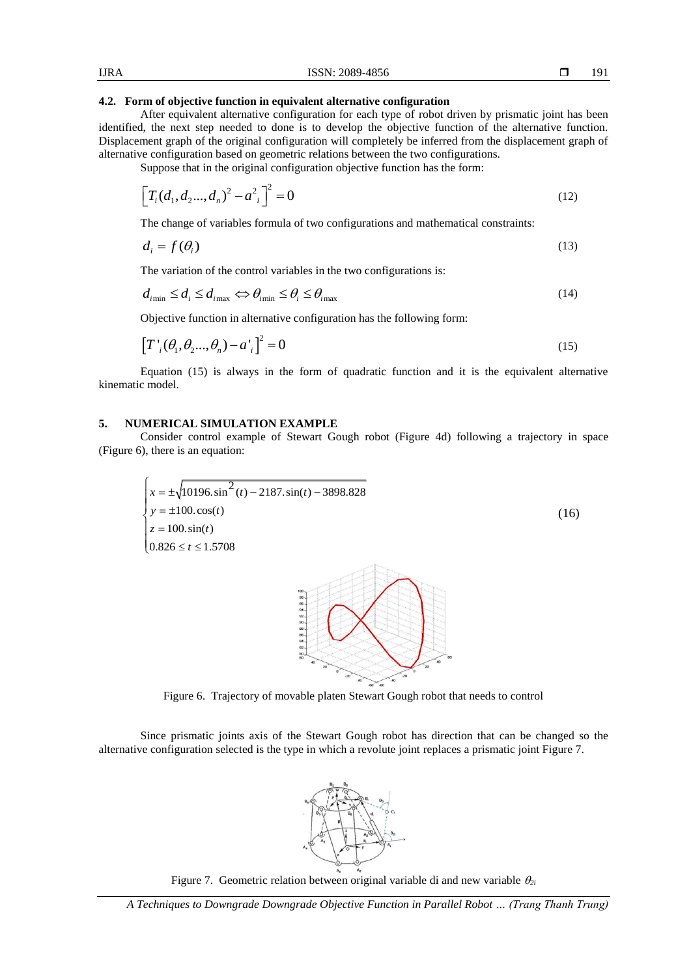After equivalent alternative configuration for each type of robot driven by prismatic joint has been identified, the next step needed to done is to develop the objective function of the alternative function. Displacement graph of the original configuration will completely be inferred from the displacement graph of alternative configuration based on geometric relations between the two configurations.

Suppose that in the original configuration objective function has the form:

$$
\[T_i(d_1, d_2, ..., d_n)^2 - a_{i}^2\]^2 = 0\tag{12}
$$

The change of variables formula of two configurations and mathematical constraints:

$$
d_i = f(\theta_i) \tag{13}
$$

The variation of the control variables in the two configurations is:  
\n
$$
d_{i_{\min}} \le d_i \le d_{i_{\max}} \Leftrightarrow \theta_{i_{\min}} \le \theta_i \le \theta_{i_{\max}}
$$
\n(14)

Objective function in alternative configuration has the following form:

$$
[T';(\theta_1, \theta_2, ..., \theta_n) - a']^2 = 0
$$
\n(15)

Equation (15) is always in the form of quadratic function and it is the equivalent alternative kinematic model.

# **5. NUMERICAL SIMULATION EXAMPLE**

Consider control example of Stewart Gough robot (Figure 4d) following a trajectory in space (Figure 6), there is an equation:

$$
\begin{cases}\nx = \pm \sqrt{10196 \cdot \sin^2(t) - 2187 \cdot \sin(t) - 3898.828} \\
y = \pm 100 \cdot \cos(t) \\
z = 100 \cdot \sin(t) \\
0.826 \le t \le 1.5708\n\end{cases}
$$
\n(16)



Since prismatic joints axis of the Stewart Gough robot has direction that can be changed so the alternative configuration selected is the type in which a revolute joint replaces a prismatic joint Figure 7.



Figure 7. Geometric relation between original variable di and new variable  $\theta_{2i}$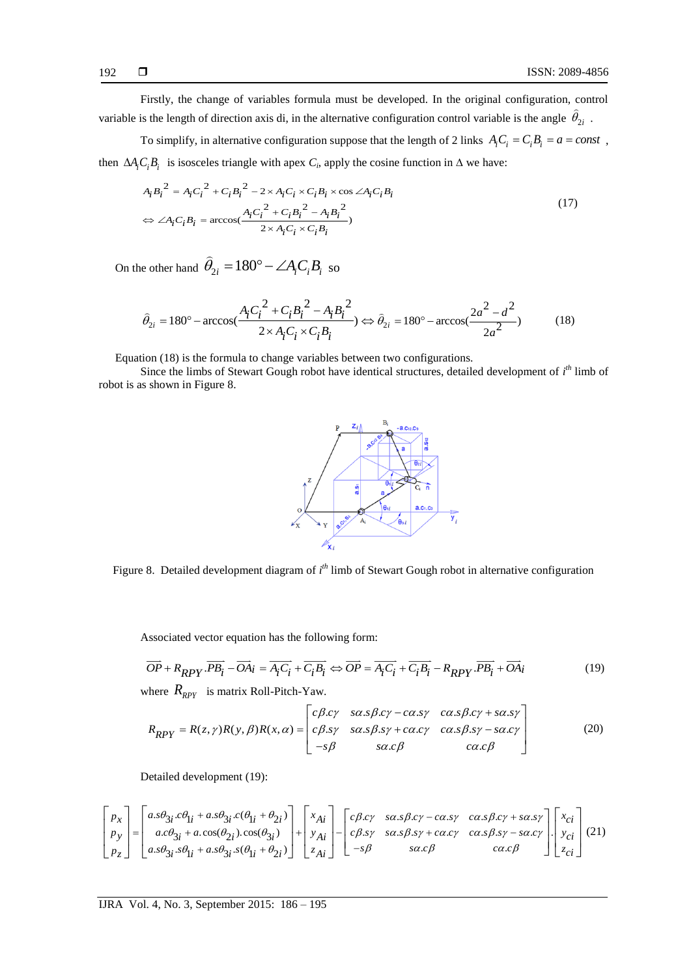Firstly, the change of variables formula must be developed. In the original configuration, control variable is the length of direction axis di, in the alternative configuration control variable is the angle  $\theta_{2i}$ .

To simplify, in alternative configuration suppose that the length of 2 links  $A_i C_i = C_i B_i = a = const$ ,

then 
$$
\Delta A_i C_i B_i
$$
 is isosceles triangle with apex  $C_i$ , apply the cosine function in  $\Delta$  we have:  
\n
$$
A_i B_i^2 = A_i C_i^2 + C_i B_i^2 - 2 \times A_i C_i \times C_i B_i \times \cos \angle A_i C_i B_i
$$
\n
$$
\Leftrightarrow \angle A_i C_i B_i = \arccos(\frac{A_i C_i^2 + C_i B_i^2 - A_i B_i^2}{2 \times A_i C_i \times C_i B_i})
$$
\n(17)

On the other hand 
$$
\hat{\theta}_{2i} = 180^{\circ} - \angle A_i C_i B_i
$$
 so  
\n
$$
\hat{\theta}_{2i} = 180^{\circ} - \arccos(\frac{A_i C_i^2 + C_i B_i^2 - A_i B_i^2}{2 \times A_i C_i \times C_i B_i}) \Leftrightarrow \hat{\theta}_{2i} = 180^{\circ} - \arccos(\frac{2a^2 - d^2}{2a^2})
$$
\n(18)

Equation (18) is the formula to change variables between two configurations.

Since the limbs of Stewart Gough robot have identical structures, detailed development of *i th* limb of robot is as shown in Figure 8.



Figure 8. Detailed development diagram of *i*<sup>th</sup> limb of Stewart Gough robot in alternative configuration

Associated vector equation has the following form:

Associated vector equation has the following form:  
\n
$$
\overrightarrow{OP} + R_{RPY} \cdot \overrightarrow{PB_i} - \overrightarrow{OA_i} = \overrightarrow{A_i C_i} + \overrightarrow{C_i B_i} \Leftrightarrow \overrightarrow{OP} = \overrightarrow{A_i C_i} + \overrightarrow{C_i B_i} - R_{RPY} \cdot \overrightarrow{PB_i} + \overrightarrow{OA_i}
$$
\nwhere  $R_{RPY}$  is matrix Roll-Pitch-Yaw.  
\n
$$
\begin{bmatrix} c\beta.c\gamma & sa.s\beta.c\gamma - ca.s\gamma & ca.s\beta.c\gamma + sa.s\gamma \\ s\beta.u & s\alpha su + sa su & s\alpha s\beta.u & s\alpha su \end{bmatrix}
$$
\n(19)

where  $R_{RPY}$  is matrix Roll-Pitch-Yaw.

$$
R_{RPY} = R(z, \gamma)R(y, \beta)R(x, \alpha) = \begin{bmatrix} c\beta \cdot cy & \alpha \cdot \beta \cdot cy & \alpha \cdot \beta \cdot cy & \alpha \cdot \beta \cdot cy & \alpha \cdot \beta \cdot cy & \alpha \cdot \beta \cdot cy \\ c\beta \cdot cy & \alpha \cdot \beta \cdot cy & \alpha \cdot \beta \cdot cy & \alpha \cdot \beta \cdot cy & \alpha \cdot \beta \cdot cy \\ c\beta \cdot cy & \alpha \cdot \beta \cdot cy & \alpha \cdot \beta \cdot cy & \alpha \cdot \beta \cdot cy \end{bmatrix} \tag{20}
$$

Detailed development (19):

Details of the image shows a linear combination of the following matrices:

\n
$$
\begin{bmatrix}\np_x \\
p_y \\
p_z\n\end{bmatrix} =\n\begin{bmatrix}\na s\theta_{3i} c\theta_{1i} + a s\theta_{3i} c(\theta_{1i} + \theta_{2i}) \\
a c\theta_{3i} + a c\cos(\theta_{2i}) c\cos(\theta_{3i}) \\
a s\theta_{3i} s\theta_{1i} + a s\theta_{3i} s(\theta_{1i} + \theta_{2i})\n\end{bmatrix} +\n\begin{bmatrix}\nx_{Ai} \\
y_{Ai} \\
z_{Ai}\n\end{bmatrix} -\n\begin{bmatrix}\nc\beta c\gamma & s\alpha s\beta c\gamma - c\alpha s\gamma & c\alpha s\beta c\gamma + s\alpha s\gamma \\
c\beta s\gamma & s\alpha s\beta s\gamma + c\alpha c\gamma & c\alpha s\beta s\gamma - s\alpha c\gamma \\
-s\beta & s\alpha c\beta\n\end{bmatrix}\n\begin{bmatrix}\nx_{ci} \\
y_{ci} \\
z_{ci}\n\end{bmatrix}
$$
\n(21)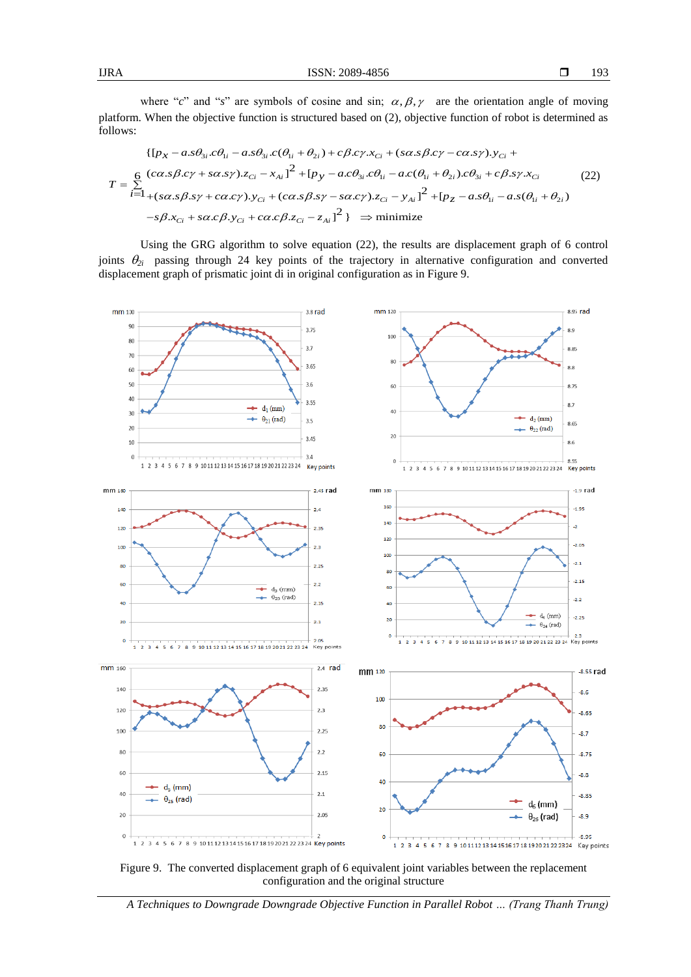where "c" and "s" are symbols of cosine and sin;  $\alpha, \beta, \gamma$  are the orientation angle of moving platform. When the objective function is structured based on (2), objective function of robot is determined as follows: where "c" and "s" are symbols of cosine and sin;  $\alpha$ ,  $\beta$ ,  $\gamma$  are the orientation angle of m<br>When the objective function is structured based on (2), objective function of robot is determin<br> $\{[p_x - a.s\theta_{3i}.c\theta_{1i} - a.s\theta_{$ 

llows:  
\n
$$
\{ [p_x - a_s \theta_{3i} . c\theta_{1i} - a_s \theta_{3i} . c(\theta_{1i} + \theta_{2i}) + c\beta . c\gamma . x_{Ci} + (s\alpha . s\beta . c\gamma - c\alpha . s\gamma). y_{Ci} +
$$
\n
$$
T = \sum_{i=1}^{6} \frac{(c\alpha . s\beta . c\gamma + s\alpha . s\gamma). z_{Ci} - x_{Ai}^2 + [p_y - a_c \theta_{3i} . c\theta_{1i} - a_c(\theta_{1i} + \theta_{2i}). c\theta_{3i} + c\beta . s\gamma . x_{Ci} \qquad (22)
$$
\n
$$
-s\beta . x_{Ci} + s\alpha . c\beta . y_{Ci} + c\alpha . c\beta . z_{Ci} - z_{Ai}^2 \} \Rightarrow \text{minimize}
$$

Using the GRG algorithm to solve equation (22), the results are displacement graph of 6 control joints  $\theta_{2i}$  passing through 24 key points of the trajectory in alternative configuration and converted displacement graph of prismatic joint di in original configuration as in Figure 9.



Figure 9. The converted displacement graph of 6 equivalent joint variables between the replacement configuration and the original structure

*A Techniques to Downgrade Downgrade Objective Function in Parallel Robot … (Trang Thanh Trung)*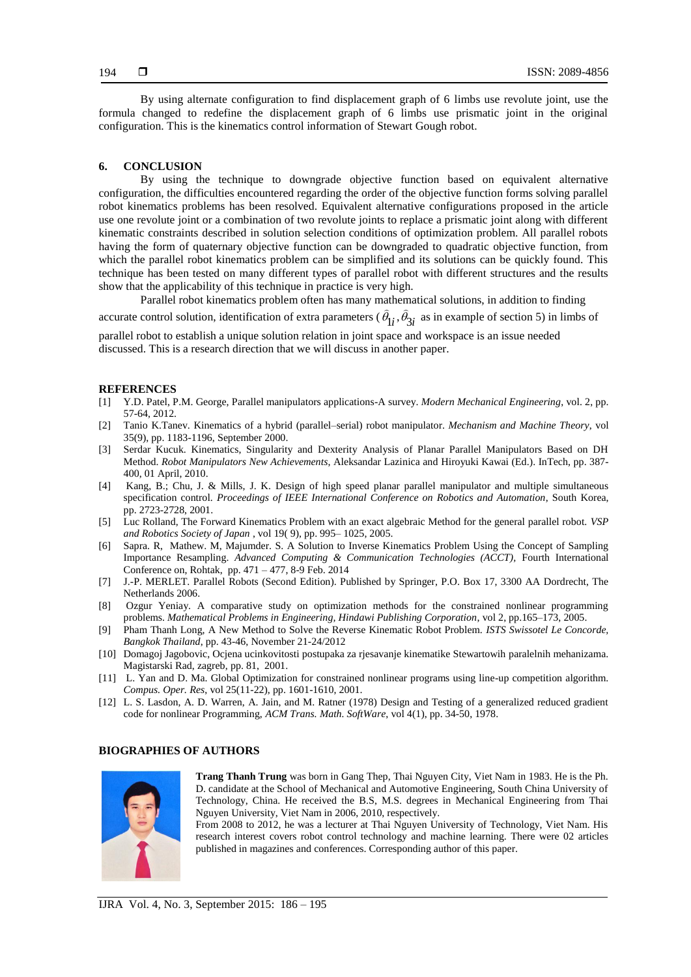By using alternate configuration to find displacement graph of 6 limbs use revolute joint, use the formula changed to redefine the displacement graph of 6 limbs use prismatic joint in the original configuration. This is the kinematics control information of Stewart Gough robot.

#### **6. CONCLUSION**

By using the technique to downgrade objective function based on equivalent alternative configuration, the difficulties encountered regarding the order of the objective function forms solving parallel robot kinematics problems has been resolved. Equivalent alternative configurations proposed in the article use one revolute joint or a combination of two revolute joints to replace a prismatic joint along with different kinematic constraints described in solution selection conditions of optimization problem. All parallel robots having the form of quaternary objective function can be downgraded to quadratic objective function, from which the parallel robot kinematics problem can be simplified and its solutions can be quickly found. This technique has been tested on many different types of parallel robot with different structures and the results show that the applicability of this technique in practice is very high.

Parallel robot kinematics problem often has many mathematical solutions, in addition to finding accurate control solution, identification of extra parameters  $(\theta_{1i}, \theta_{3i})$  as in example of section 5) in limbs of

parallel robot to establish a unique solution relation in joint space and workspace is an issue needed discussed. This is a research direction that we will discuss in another paper.

#### **REFERENCES**

- [1] Y.D. Patel, P.M. George, Parallel manipulators applications-A survey. *Modern Mechanical Engineering*, vol. 2, pp. 57-64, 2012.
- [2] Tanio K.Tanev. Kinematics of a hybrid (parallel–serial) robot manipulator. *Mechanism and Machine Theory*, vol 35(9), pp. 1183-1196, September 2000.
- [3] Serdar Kucuk. Kinematics, Singularity and Dexterity Analysis of Planar Parallel Manipulators Based on DH Method. *Robot Manipulators New Achievements*, Aleksandar Lazinica and Hiroyuki Kawai (Ed.). InTech, pp. 387- 400, 01 April, 2010.
- [4] Kang, B.; Chu, J. & Mills, J. K. Design of high speed planar parallel manipulator and multiple simultaneous specification control. *Proceedings of IEEE International Conference on Robotics and Automation*, South Korea, pp. 2723-2728, 2001.
- [5] Luc Rolland, The Forward Kinematics Problem with an exact algebraic Method for the general parallel robot. *VSP and Robotics Society of Japan* , vol 19( 9), pp. 995– 1025, 2005.
- [6] Sapra. R, Mathew. M, Majumder. S. A Solution to Inverse Kinematics Problem Using the Concept of Sampling Importance Resampling. *Advanced Computing & Communication Technologies (ACCT),* Fourth International Conference on, Rohtak, pp. 471 – 477, 8-9 Feb. 2014
- [7] J.-P. MERLET. Parallel Robots (Second Edition). Published by Springer, P.O. Box 17, 3300 AA Dordrecht, The Netherlands 2006.
- [8] Ozgur Yeniay. A comparative study on optimization methods for the constrained nonlinear programming problems. *Mathematical Problems in Engineering, Hindawi Publishing Corporation*, vol 2, pp.165–173, 2005.
- [9] Pham Thanh Long, A New Method to Solve the Reverse Kinematic Robot Problem. *ISTS Swissotel Le Concorde, Bangkok Thailand*, pp. 43-46, November 21-24/2012
- [10] Domagoj Jagobovic, Ocjena ucinkovitosti postupaka za rjesavanje kinematike Stewartowih paralelnih mehanizama. Magistarski Rad, zagreb, pp. 81, 2001.
- [11] L. Yan and D. Ma. Global Optimization for constrained nonlinear programs using line-up competition algorithm. *Compus. Oper. Res*, vol 25(11-22), pp. 1601-1610, 2001.
- [12] L. S. Lasdon, A. D. Warren, A. Jain, and M. Ratner (1978) Design and Testing of a generalized reduced gradient code for nonlinear Programming, *ACM Trans. Math. SoftWare*, vol 4(1), pp. 34-50, 1978.

#### **BIOGRAPHIES OF AUTHORS**



**Trang Thanh Trung** was born in Gang Thep, Thai Nguyen City, Viet Nam in 1983. He is the Ph. D. candidate at the School of Mechanical and Automotive Engineering, South China University of Technology, China. He received the B.S, M.S. degrees in Mechanical Engineering from Thai Nguyen University, Viet Nam in 2006, 2010, respectively.

From 2008 to 2012, he was a lecturer at Thai Nguyen University of Technology, Viet Nam. His research interest covers robot control technology and machine learning. There were 02 articles published in magazines and conferences. Corresponding author of this paper.